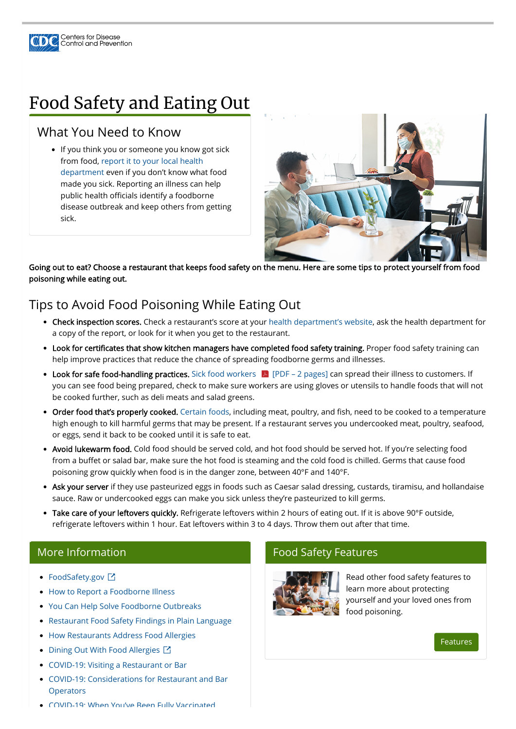## **ODC** Centers for Disease<br> **ODC** Control and Prevention

# Food Safety and Eating Out

#### What You Need to Know

• If you think you or someone you know got sick from food, report it to your local health [department even if you don't know wha](https://www.cdc.gov/publichealthgateway/sitesgovernance/index.html)t food made you sick. Reporting an illness can help public health officials identify a foodborne disease outbreak and keep others from getting sick.



Going out to eat? Choose a restaurant that keeps food safety on the menu. Here are some tips to protect yourself from food poisoning while eating out.

### Tips to Avoid Food Poisoning While Eating Out

- [FoodSafety.gov](https://www.foodsafety.gov/) ∑
- [How to Report a Foodborne Illness](https://www.cdc.gov/foodsafety/outbreaks/investigating-outbreaks/report-illness/public.html)
- [You Can Help Solve Foodborne Outbreaks](https://www.cdc.gov/foodsafety/outbreaks/investigating-outbreaks/help-solve-outbreaks.html)
- [Restaurant Food Safety Findings in Plain Language](https://www.cdc.gov/nceh/ehs/ehsnet/plain_language/index.htm)
- [How Restaurants Address Food Allergies](https://www.cdc.gov/nceh/ehs/ehsnet/plain_language/allergy-practices.htm)
- [Dining Out With Food Allergies](https://www.foodallergy.org/resources/dining-out)  $\Box$
- [COVID-19: Visiting a Restaurant or Bar](https://www.cdc.gov/coronavirus/2019-ncov/daily-life-coping/personal-social-activities.html#restaurant)
- [COVID-19: Considerations for Restaurant and Bar](https://www.cdc.gov/coronavirus/2019-ncov/community/organizations/business-employers/bars-restaurants.html) **Operators**
- COVID-19: When You've Been Fully [Vaccinated](https://www.cdc.gov/coronavirus/2019-ncov/vaccines/fully-vaccinated.html)
- Check inspection scores. Check a restaurant's score at your [health department's website,](https://www.cdc.gov/publichealthgateway/sitesgovernance/index.html) ask the health department for a copy of the report, or look for it when you get to the restaurant.
- Look for certificates that show kitchen managers have completed food safety training. Proper food safety training can help improve practices that reduce the chance of spreading foodborne germs and illnesses.
- **Look for safe food-handling practices.** Sick food workers [A] [PDF 2 pages] can spread their illness to customers. If you can see food being prepared, check to make sure workers are using gloves or utensils to handle foods that will not be cooked further, such as deli meats and salad greens.
- Order food that's properly cooked. [Certain foods](https://www.cdc.gov/foodsafety/foods-linked-illness.html), including meat, poultry, and fish, need to be cooked to a temperature high enough to kill harmful germs that may be present. If a restaurant serves you undercooked meat, poultry, seafood, or eggs, send it back to be cooked until it is safe to eat.
- Avoid lukewarm food. Cold food should be served cold, and hot food should be served hot. If you're selecting food from a buffet or salad bar, make sure the hot food is steaming and the cold food is chilled. Germs that cause food poisoning grow quickly when food is in the danger zone, between 40°F and 140°F.
- Ask your server if they use pasteurized eggs in foods such as Caesar salad dressing, custards, tiramisu, and hollandaise sauce. Raw or undercooked eggs can make you sick unless they're pasteurized to kill germs.
- Take care of your leftovers quickly. Refrigerate leftovers within 2 hours of eating out. If it is above 90°F outside, refrigerate leftovers within 1 hour. Eat leftovers within 3 to 4 days. Throw them out after that time.

#### More Information

#### Food Safety Features



Read other food safety features to learn more about protecting yourself and your loved ones from food poisoning.